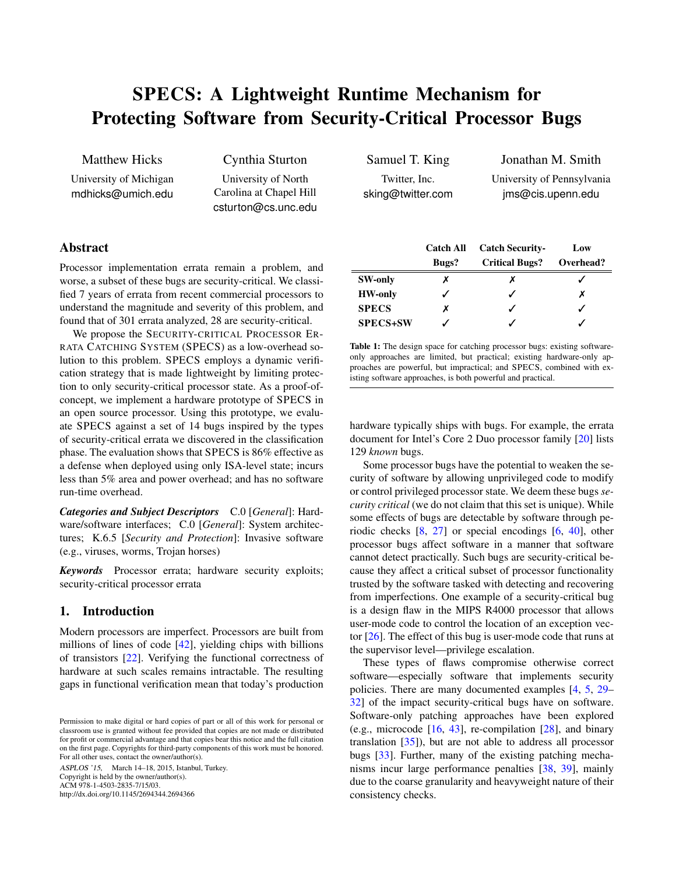# SPECS: A Lightweight Runtime Mechanism for Protecting Software from Security-Critical Processor Bugs

Matthew Hicks

University of Michigan mdhicks@umich.edu

Cynthia Sturton

University of North Carolina at Chapel Hill csturton@cs.unc.edu Samuel T. King Twitter, Inc.

sking@twitter.com

Jonathan M. Smith

University of Pennsylvania jms@cis.upenn.edu

# Abstract

Processor implementation errata remain a problem, and worse, a subset of these bugs are security-critical. We classified 7 years of errata from recent commercial processors to understand the magnitude and severity of this problem, and found that of 301 errata analyzed, 28 are security-critical.

We propose the SECURITY-CRITICAL PROCESSOR ER-RATA CATCHING SYSTEM (SPECS) as a low-overhead solution to this problem. SPECS employs a dynamic verification strategy that is made lightweight by limiting protection to only security-critical processor state. As a proof-ofconcept, we implement a hardware prototype of SPECS in an open source processor. Using this prototype, we evaluate SPECS against a set of 14 bugs inspired by the types of security-critical errata we discovered in the classification phase. The evaluation shows that SPECS is 86% effective as a defense when deployed using only ISA-level state; incurs less than 5% area and power overhead; and has no software run-time overhead.

*Categories and Subject Descriptors* C.0 [*General*]: Hardware/software interfaces; C.0 [*General*]: System architectures; K.6.5 [*Security and Protection*]: Invasive software (e.g., viruses, worms, Trojan horses)

*Keywords* Processor errata; hardware security exploits; security-critical processor errata

# <span id="page-0-1"></span>1. Introduction

Modern processors are imperfect. Processors are built from millions of lines of code [\[42\]](#page-12-0), yielding chips with billions of transistors [\[22\]](#page-12-1). Verifying the functional correctness of hardware at such scales remains intractable. The resulting gaps in functional verification mean that today's production

ASPLOS '15, March 14–18, 2015, Istanbul, Turkey. Copyright is held by the owner/author(s). ACM 978-1-4503-2835-7/15/03. http://dx.doi.org/10.1145/2694344.2694366

<span id="page-0-0"></span>

|                 | <b>Catch All</b> | <b>Catch Security-</b> | Low       |
|-----------------|------------------|------------------------|-----------|
|                 | Bugs?            | <b>Critical Bugs?</b>  | Overhead? |
| <b>SW-only</b>  | x                | х                      |           |
| <b>HW-only</b>  |                  |                        | х         |
| <b>SPECS</b>    | x                |                        |           |
| <b>SPECS+SW</b> |                  |                        |           |

Table 1: The design space for catching processor bugs: existing softwareonly approaches are limited, but practical; existing hardware-only approaches are powerful, but impractical; and SPECS, combined with existing software approaches, is both powerful and practical.

hardware typically ships with bugs. For example, the errata document for Intel's Core 2 Duo processor family [\[20\]](#page-12-2) lists 129 *known* bugs.

Some processor bugs have the potential to weaken the security of software by allowing unprivileged code to modify or control privileged processor state. We deem these bugs *security critical* (we do not claim that this set is unique). While some effects of bugs are detectable by software through periodic checks [\[8,](#page-12-3) [27\]](#page-12-4) or special encodings [\[6,](#page-11-0) [40\]](#page-12-5), other processor bugs affect software in a manner that software cannot detect practically. Such bugs are security-critical because they affect a critical subset of processor functionality trusted by the software tasked with detecting and recovering from imperfections. One example of a security-critical bug is a design flaw in the MIPS R4000 processor that allows user-mode code to control the location of an exception vector [\[26\]](#page-12-6). The effect of this bug is user-mode code that runs at the supervisor level—privilege escalation.

These types of flaws compromise otherwise correct software—especially software that implements security policies. There are many documented examples [\[4,](#page-11-1) [5,](#page-11-2) [29–](#page-12-7) [32\]](#page-12-8) of the impact security-critical bugs have on software. Software-only patching approaches have been explored (e.g., microcode [\[16,](#page-12-9) [43\]](#page-12-10), re-compilation [\[28\]](#page-12-11), and binary translation [\[35\]](#page-12-12)), but are not able to address all processor bugs [\[33\]](#page-12-13). Further, many of the existing patching mechanisms incur large performance penalties [\[38,](#page-12-14) [39\]](#page-12-15), mainly due to the coarse granularity and heavyweight nature of their consistency checks.

Permission to make digital or hard copies of part or all of this work for personal or classroom use is granted without fee provided that copies are not made or distributed for profit or commercial advantage and that copies bear this notice and the full citation on the first page. Copyrights for third-party components of this work must be honored. For all other uses, contact the owner/author(s).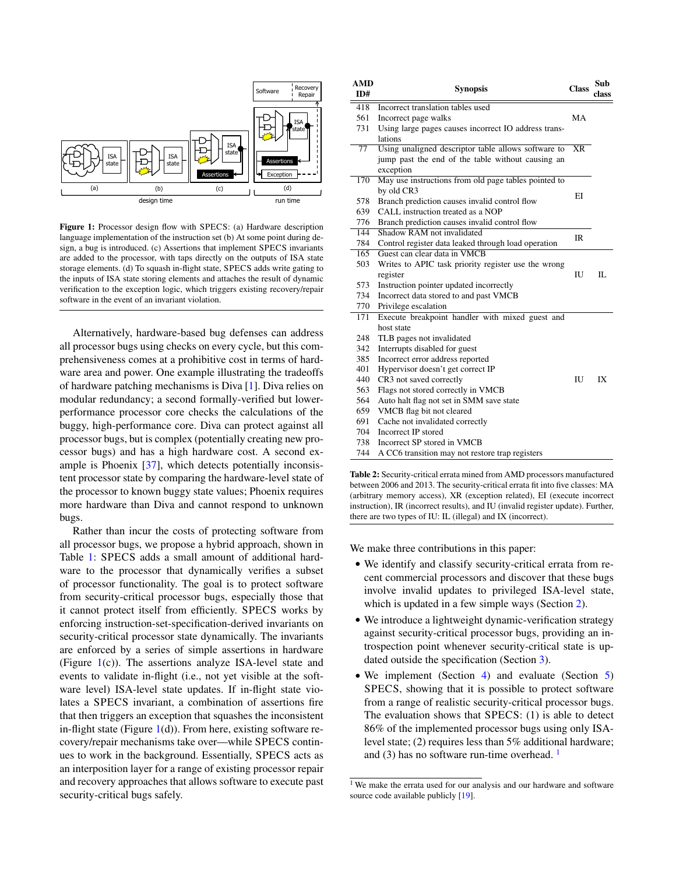<span id="page-1-0"></span>

Figure 1: Processor design flow with SPECS: (a) Hardware description language implementation of the instruction set (b) At some point during design, a bug is introduced. (c) Assertions that implement SPECS invariants are added to the processor, with taps directly on the outputs of ISA state storage elements. (d) To squash in-flight state, SPECS adds write gating to the inputs of ISA state storing elements and attaches the result of dynamic verification to the exception logic, which triggers existing recovery/repair software in the event of an invariant violation.

Alternatively, hardware-based bug defenses can address all processor bugs using checks on every cycle, but this comprehensiveness comes at a prohibitive cost in terms of hardware area and power. One example illustrating the tradeoffs of hardware patching mechanisms is Diva [\[1\]](#page-11-3). Diva relies on modular redundancy; a second formally-verified but lowerperformance processor core checks the calculations of the buggy, high-performance core. Diva can protect against all processor bugs, but is complex (potentially creating new processor bugs) and has a high hardware cost. A second example is Phoenix [\[37\]](#page-12-16), which detects potentially inconsistent processor state by comparing the hardware-level state of the processor to known buggy state values; Phoenix requires more hardware than Diva and cannot respond to unknown bugs.

Rather than incur the costs of protecting software from all processor bugs, we propose a hybrid approach, shown in Table [1:](#page-0-0) SPECS adds a small amount of additional hardware to the processor that dynamically verifies a subset of processor functionality. The goal is to protect software from security-critical processor bugs, especially those that it cannot protect itself from efficiently. SPECS works by enforcing instruction-set-specification-derived invariants on security-critical processor state dynamically. The invariants are enforced by a series of simple assertions in hardware (Figure [1\(](#page-1-0)c)). The assertions analyze ISA-level state and events to validate in-flight (i.e., not yet visible at the software level) ISA-level state updates. If in-flight state violates a SPECS invariant, a combination of assertions fire that then triggers an exception that squashes the inconsistent in-flight state (Figure  $1(d)$  $1(d)$ ). From here, existing software recovery/repair mechanisms take over—while SPECS continues to work in the background. Essentially, SPECS acts as an interposition layer for a range of existing processor repair and recovery approaches that allows software to execute past security-critical bugs safely.

<span id="page-1-3"></span>

| <b>AMD</b><br>ID# | <b>Synopsis</b>                                      | <b>Class</b>    | Sub<br>class |
|-------------------|------------------------------------------------------|-----------------|--------------|
| 418               | Incorrect translation tables used                    |                 |              |
| 561               | Incorrect page walks                                 | MА              |              |
| 731               | Using large pages causes incorrect IO address trans- |                 |              |
|                   | lations                                              |                 |              |
| 77                | Using unaligned descriptor table allows software to  | $X\overline{R}$ |              |
|                   | jump past the end of the table without causing an    |                 |              |
|                   | exception                                            |                 |              |
| 170               | May use instructions from old page tables pointed to |                 |              |
|                   | by old CR3                                           | ЕI              |              |
| 578               | Branch prediction causes invalid control flow        |                 |              |
| 639               | CALL instruction treated as a NOP                    |                 |              |
| 776               | Branch prediction causes invalid control flow        |                 |              |
| 144               | Shadow RAM not invalidated                           | <b>IR</b>       |              |
| 784               | Control register data leaked through load operation  |                 |              |
| 165               | Guest can clear data in VMCB                         |                 |              |
| 503               | Writes to APIC task priority register use the wrong  |                 |              |
|                   | register                                             | IU              | Π.           |
| 573               | Instruction pointer updated incorrectly              |                 |              |
| 734               | Incorrect data stored to and past VMCB               |                 |              |
| 770               | Privilege escalation                                 |                 |              |
| 171               | Execute breakpoint handler with mixed guest and      |                 |              |
|                   | host state                                           |                 |              |
| 248               | TLB pages not invalidated                            |                 |              |
| 342               | Interrupts disabled for guest                        |                 |              |
| 385               | Incorrect error address reported                     |                 |              |
| 401               | Hypervisor doesn't get correct IP                    |                 |              |
| 440               | CR3 not saved correctly                              | ПJ              | IX           |
| 563               | Flags not stored correctly in VMCB                   |                 |              |
| 564               | Auto halt flag not set in SMM save state             |                 |              |
| 659               | VMCB flag bit not cleared                            |                 |              |
| 691               | Cache not invalidated correctly                      |                 |              |
| 704               | Incorrect IP stored                                  |                 |              |
| 738               | Incorrect SP stored in VMCB                          |                 |              |
| 744               | A CC6 transition may not restore trap registers      |                 |              |
|                   |                                                      |                 |              |

Table 2: Security-critical errata mined from AMD processors manufactured between 2006 and 2013. The security-critical errata fit into five classes: MA (arbitrary memory access), XR (exception related), EI (execute incorrect instruction), IR (incorrect results), and IU (invalid register update). Further, there are two types of IU: IL (illegal) and IX (incorrect).

We make three contributions in this paper:

- We identify and classify security-critical errata from recent commercial processors and discover that these bugs involve invalid updates to privileged ISA-level state, which is updated in a few simple ways (Section [2\)](#page-1-1).
- We introduce a lightweight dynamic-verification strategy against security-critical processor bugs, providing an introspection point whenever security-critical state is updated outside the specification (Section [3\)](#page-2-0).
- We implement (Section [4\)](#page-5-0) and evaluate (Section [5\)](#page-7-0) SPECS, showing that it is possible to protect software from a range of realistic security-critical processor bugs. The evaluation shows that SPECS: (1) is able to detect 86% of the implemented processor bugs using only ISAlevel state; (2) requires less than 5% additional hardware; and (3) has no software run-time overhead.  $\frac{1}{1}$  $\frac{1}{1}$  $\frac{1}{1}$

<span id="page-1-2"></span><span id="page-1-1"></span><sup>&</sup>lt;sup>1</sup> We make the errata used for our analysis and our hardware and software source code available publicly [\[19\]](#page-12-17).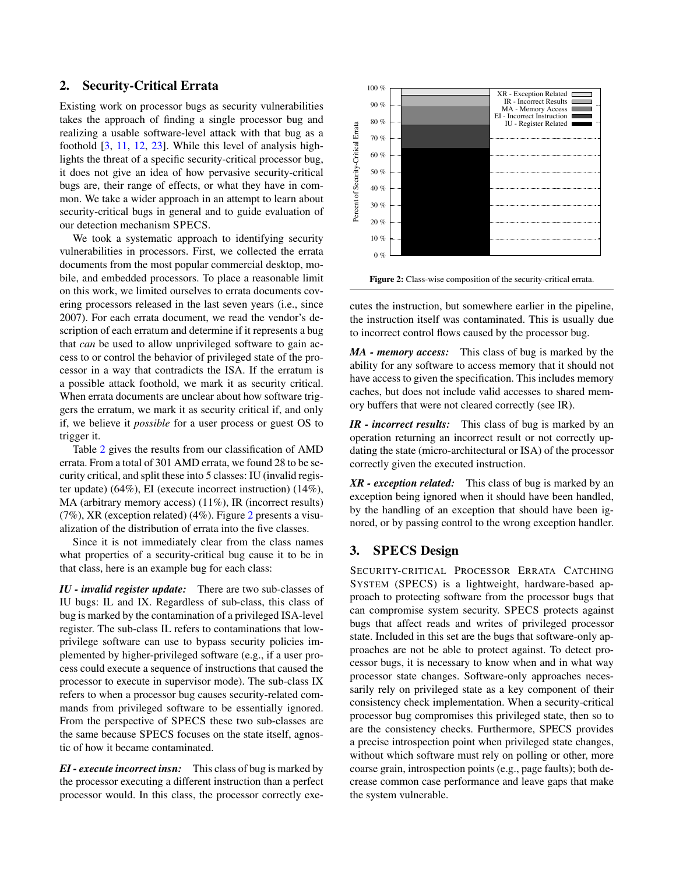# 2. Security-Critical Errata

Existing work on processor bugs as security vulnerabilities takes the approach of finding a single processor bug and realizing a usable software-level attack with that bug as a foothold [\[3,](#page-11-4) [11,](#page-12-18) [12,](#page-12-19) [23\]](#page-12-20). While this level of analysis highlights the threat of a specific security-critical processor bug, it does not give an idea of how pervasive security-critical bugs are, their range of effects, or what they have in common. We take a wider approach in an attempt to learn about security-critical bugs in general and to guide evaluation of our detection mechanism SPECS.

We took a systematic approach to identifying security vulnerabilities in processors. First, we collected the errata documents from the most popular commercial desktop, mobile, and embedded processors. To place a reasonable limit on this work, we limited ourselves to errata documents covering processors released in the last seven years (i.e., since 2007). For each errata document, we read the vendor's description of each erratum and determine if it represents a bug that *can* be used to allow unprivileged software to gain access to or control the behavior of privileged state of the processor in a way that contradicts the ISA. If the erratum is a possible attack foothold, we mark it as security critical. When errata documents are unclear about how software triggers the erratum, we mark it as security critical if, and only if, we believe it *possible* for a user process or guest OS to trigger it.

Table [2](#page-1-3) gives the results from our classification of AMD errata. From a total of 301 AMD errata, we found 28 to be security critical, and split these into 5 classes: IU (invalid register update) (64%), EI (execute incorrect instruction) (14%), MA (arbitrary memory access) (11%), IR (incorrect results) (7%), XR (exception related) (4%). Figure [2](#page-2-1) presents a visualization of the distribution of errata into the five classes.

Since it is not immediately clear from the class names what properties of a security-critical bug cause it to be in that class, here is an example bug for each class:

*IU - invalid register update:* There are two sub-classes of IU bugs: IL and IX. Regardless of sub-class, this class of bug is marked by the contamination of a privileged ISA-level register. The sub-class IL refers to contaminations that lowprivilege software can use to bypass security policies implemented by higher-privileged software (e.g., if a user process could execute a sequence of instructions that caused the processor to execute in supervisor mode). The sub-class IX refers to when a processor bug causes security-related commands from privileged software to be essentially ignored. From the perspective of SPECS these two sub-classes are the same because SPECS focuses on the state itself, agnostic of how it became contaminated.

*EI - execute incorrect insn:* This class of bug is marked by the processor executing a different instruction than a perfect processor would. In this class, the processor correctly exe-

<span id="page-2-1"></span>

Figure 2: Class-wise composition of the security-critical errata.

cutes the instruction, but somewhere earlier in the pipeline, the instruction itself was contaminated. This is usually due to incorrect control flows caused by the processor bug.

*MA - memory access:* This class of bug is marked by the ability for any software to access memory that it should not have access to given the specification. This includes memory caches, but does not include valid accesses to shared memory buffers that were not cleared correctly (see IR).

*IR - incorrect results:* This class of bug is marked by an operation returning an incorrect result or not correctly updating the state (micro-architectural or ISA) of the processor correctly given the executed instruction.

*XR - exception related:* This class of bug is marked by an exception being ignored when it should have been handled, by the handling of an exception that should have been ignored, or by passing control to the wrong exception handler.

# <span id="page-2-0"></span>3. SPECS Design

SECURITY-CRITICAL PROCESSOR ERRATA CATCHING SYSTEM (SPECS) is a lightweight, hardware-based approach to protecting software from the processor bugs that can compromise system security. SPECS protects against bugs that affect reads and writes of privileged processor state. Included in this set are the bugs that software-only approaches are not be able to protect against. To detect processor bugs, it is necessary to know when and in what way processor state changes. Software-only approaches necessarily rely on privileged state as a key component of their consistency check implementation. When a security-critical processor bug compromises this privileged state, then so to are the consistency checks. Furthermore, SPECS provides a precise introspection point when privileged state changes, without which software must rely on polling or other, more coarse grain, introspection points (e.g., page faults); both decrease common case performance and leave gaps that make the system vulnerable.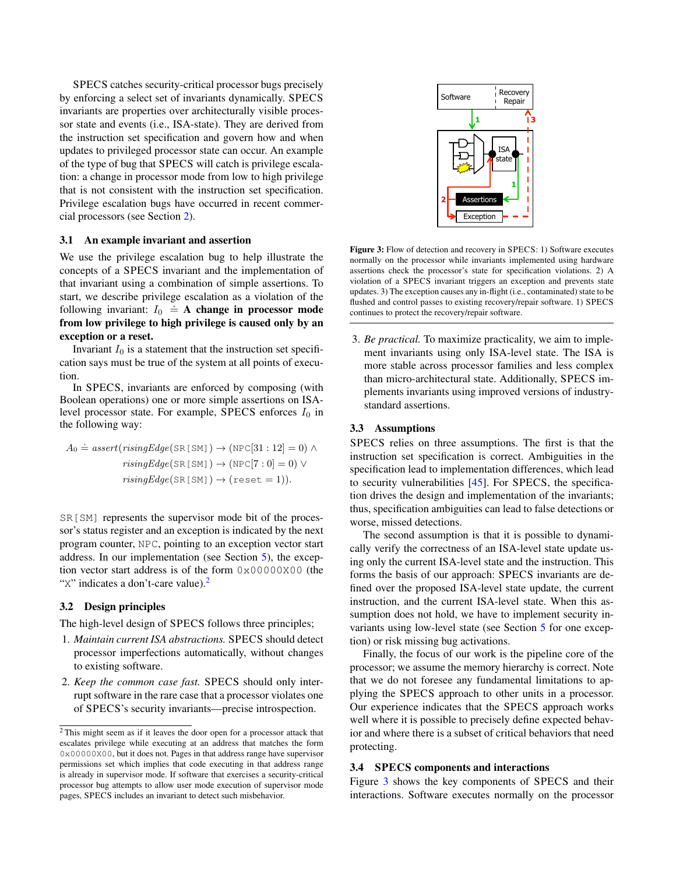SPECS catches security-critical processor bugs precisely by enforcing a select set of invariants dynamically. SPECS invariants are properties over architecturally visible processor state and events (i.e., ISA-state). They are derived from the instruction set specification and govern how and when updates to privileged processor state can occur. An example of the type of bug that SPECS will catch is privilege escalation: a change in processor mode from low to high privilege that is not consistent with the instruction set specification. Privilege escalation bugs have occurred in recent commercial processors (see Section [2\)](#page-1-1).

# 3.1 An example invariant and assertion

We use the privilege escalation bug to help illustrate the concepts of a SPECS invariant and the implementation of that invariant using a combination of simple assertions. To start, we describe privilege escalation as a violation of the following invariant:  $I_0 \doteq \mathbf{A}$  change in processor mode from low privilege to high privilege is caused only by an exception or a reset.

Invariant  $I_0$  is a statement that the instruction set specification says must be true of the system at all points of execution.

In SPECS, invariants are enforced by composing (with Boolean operations) one or more simple assertions on ISAlevel processor state. For example, SPECS enforces  $I_0$  in the following way:

$$
A_0 \doteq assert(risingEdge(\text{SR} \text{ [SM]}) \rightarrow (\text{NPC}[31:12] = 0) \land
$$
  

$$
risingEdge(\text{SR} \text{ [SM]}) \rightarrow (\text{NPC}[7:0] = 0) \lor
$$
  

$$
risingEdge(\text{SR} \text{ [SM]}) \rightarrow (\text{reset} = 1)).
$$

SR[SM] represents the supervisor mode bit of the processor's status register and an exception is indicated by the next program counter, NPC, pointing to an exception vector start address. In our implementation (see Section [5\)](#page-7-0), the exception vector start address is of the form 0x00000X00 (the "X" indicates a don't-care value).<sup>[2](#page-3-0)</sup>

## 3.2 Design principles

The high-level design of SPECS follows three principles;

- 1. *Maintain current ISA abstractions.* SPECS should detect processor imperfections automatically, without changes to existing software.
- 2. *Keep the common case fast.* SPECS should only interrupt software in the rare case that a processor violates one of SPECS's security invariants—precise introspection.

<span id="page-3-1"></span>

Figure 3: Flow of detection and recovery in SPECS: 1) Software executes normally on the processor while invariants implemented using hardware assertions check the processor's state for specification violations. 2) A violation of a SPECS invariant triggers an exception and prevents state updates. 3) The exception causes any in-flight (i.e., contaminated) state to be flushed and control passes to existing recovery/repair software. 1) SPECS continues to protect the recovery/repair software.

3. *Be practical.* To maximize practicality, we aim to implement invariants using only ISA-level state. The ISA is more stable across processor families and less complex than micro-architectural state. Additionally, SPECS implements invariants using improved versions of industrystandard assertions.

## 3.3 Assumptions

SPECS relies on three assumptions. The first is that the instruction set specification is correct. Ambiguities in the specification lead to implementation differences, which lead to security vulnerabilities [\[45\]](#page-12-21). For SPECS, the specification drives the design and implementation of the invariants; thus, specification ambiguities can lead to false detections or worse, missed detections.

The second assumption is that it is possible to dynamically verify the correctness of an ISA-level state update using only the current ISA-level state and the instruction. This forms the basis of our approach: SPECS invariants are defined over the proposed ISA-level state update, the current instruction, and the current ISA-level state. When this assumption does not hold, we have to implement security invariants using low-level state (see Section [5](#page-7-0) for one exception) or risk missing bug activations.

Finally, the focus of our work is the pipeline core of the processor; we assume the memory hierarchy is correct. Note that we do not foresee any fundamental limitations to applying the SPECS approach to other units in a processor. Our experience indicates that the SPECS approach works well where it is possible to precisely define expected behavior and where there is a subset of critical behaviors that need protecting.

## 3.4 SPECS components and interactions

Figure [3](#page-3-1) shows the key components of SPECS and their interactions. Software executes normally on the processor

<span id="page-3-0"></span><sup>2</sup> This might seem as if it leaves the door open for a processor attack that escalates privilege while executing at an address that matches the form 0x00000X00, but it does not. Pages in that address range have supervisor permissions set which implies that code executing in that address range is already in supervisor mode. If software that exercises a security-critical processor bug attempts to allow user mode execution of supervisor mode pages, SPECS includes an invariant to detect such misbehavior.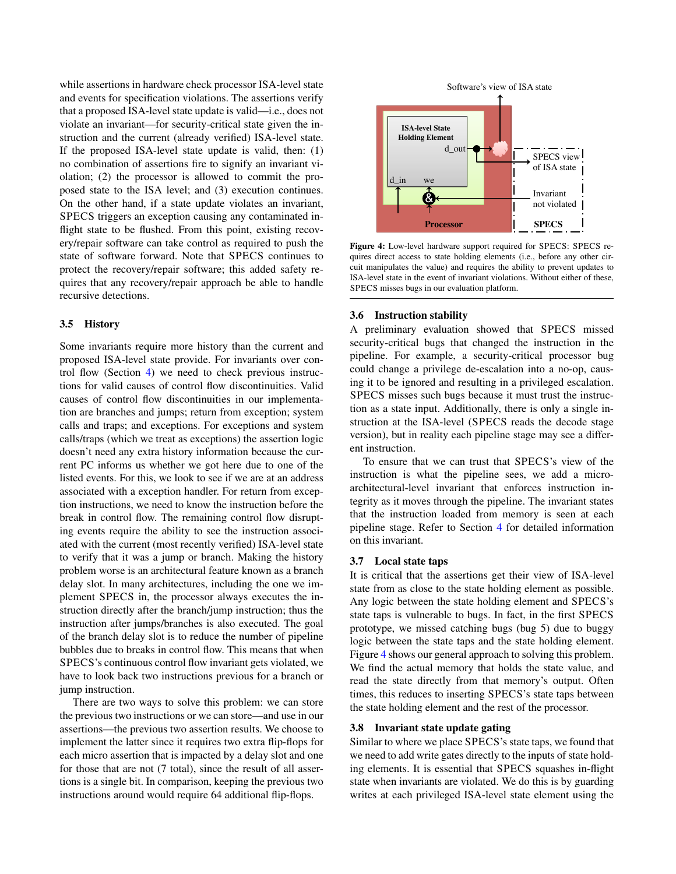while assertions in hardware check processor ISA-level state and events for specification violations. The assertions verify that a proposed ISA-level state update is valid—i.e., does not violate an invariant—for security-critical state given the instruction and the current (already verified) ISA-level state. If the proposed ISA-level state update is valid, then: (1) no combination of assertions fire to signify an invariant violation; (2) the processor is allowed to commit the proposed state to the ISA level; and (3) execution continues. On the other hand, if a state update violates an invariant, SPECS triggers an exception causing any contaminated inflight state to be flushed. From this point, existing recovery/repair software can take control as required to push the state of software forward. Note that SPECS continues to protect the recovery/repair software; this added safety requires that any recovery/repair approach be able to handle recursive detections.

#### 3.5 History

Some invariants require more history than the current and proposed ISA-level state provide. For invariants over control flow (Section [4\)](#page-5-0) we need to check previous instructions for valid causes of control flow discontinuities. Valid causes of control flow discontinuities in our implementation are branches and jumps; return from exception; system calls and traps; and exceptions. For exceptions and system calls/traps (which we treat as exceptions) the assertion logic doesn't need any extra history information because the current PC informs us whether we got here due to one of the listed events. For this, we look to see if we are at an address associated with a exception handler. For return from exception instructions, we need to know the instruction before the break in control flow. The remaining control flow disrupting events require the ability to see the instruction associated with the current (most recently verified) ISA-level state to verify that it was a jump or branch. Making the history problem worse is an architectural feature known as a branch delay slot. In many architectures, including the one we implement SPECS in, the processor always executes the instruction directly after the branch/jump instruction; thus the instruction after jumps/branches is also executed. The goal of the branch delay slot is to reduce the number of pipeline bubbles due to breaks in control flow. This means that when SPECS's continuous control flow invariant gets violated, we have to look back two instructions previous for a branch or jump instruction.

<span id="page-4-1"></span>There are two ways to solve this problem: we can store the previous two instructions or we can store—and use in our assertions—the previous two assertion results. We choose to implement the latter since it requires two extra flip-flops for each micro assertion that is impacted by a delay slot and one for those that are not (7 total), since the result of all assertions is a single bit. In comparison, keeping the previous two instructions around would require 64 additional flip-flops.

<span id="page-4-0"></span>

Figure 4: Low-level hardware support required for SPECS: SPECS requires direct access to state holding elements (i.e., before any other circuit manipulates the value) and requires the ability to prevent updates to ISA-level state in the event of invariant violations. Without either of these, SPECS misses bugs in our evaluation platform.

#### 3.6 Instruction stability

A preliminary evaluation showed that SPECS missed security-critical bugs that changed the instruction in the pipeline. For example, a security-critical processor bug could change a privilege de-escalation into a no-op, causing it to be ignored and resulting in a privileged escalation. SPECS misses such bugs because it must trust the instruction as a state input. Additionally, there is only a single instruction at the ISA-level (SPECS reads the decode stage version), but in reality each pipeline stage may see a different instruction.

To ensure that we can trust that SPECS's view of the instruction is what the pipeline sees, we add a microarchitectural-level invariant that enforces instruction integrity as it moves through the pipeline. The invariant states that the instruction loaded from memory is seen at each pipeline stage. Refer to Section [4](#page-5-0) for detailed information on this invariant.

#### 3.7 Local state taps

It is critical that the assertions get their view of ISA-level state from as close to the state holding element as possible. Any logic between the state holding element and SPECS's state taps is vulnerable to bugs. In fact, in the first SPECS prototype, we missed catching bugs (bug 5) due to buggy logic between the state taps and the state holding element. Figure [4](#page-4-0) shows our general approach to solving this problem. We find the actual memory that holds the state value, and read the state directly from that memory's output. Often times, this reduces to inserting SPECS's state taps between the state holding element and the rest of the processor.

# 3.8 Invariant state update gating

Similar to where we place SPECS's state taps, we found that we need to add write gates directly to the inputs of state holding elements. It is essential that SPECS squashes in-flight state when invariants are violated. We do this is by guarding writes at each privileged ISA-level state element using the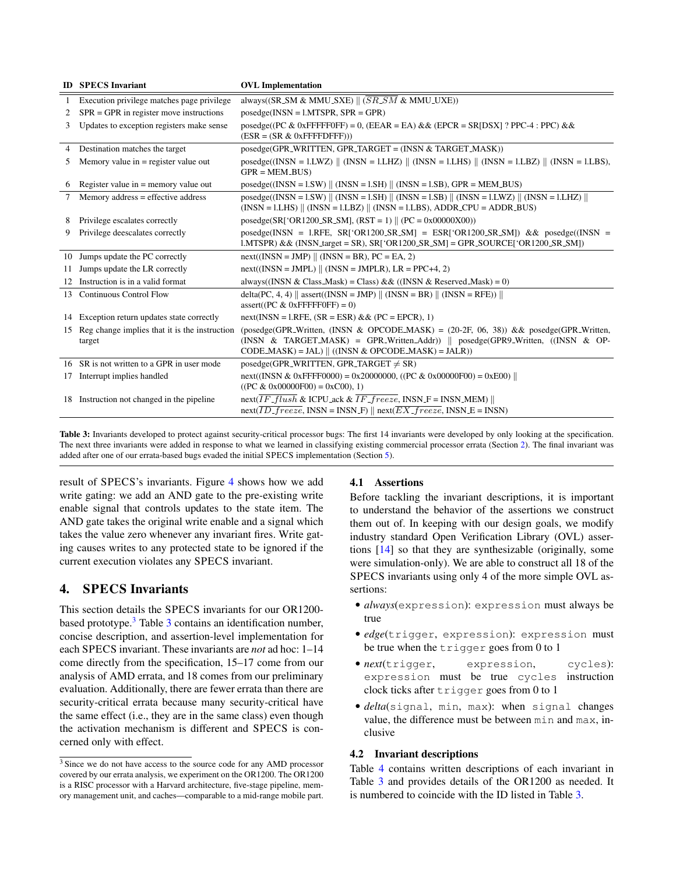<span id="page-5-2"></span>

|    | <b>ID</b> SPECS Invariant                               | <b>OVL</b> Implementation                                                                                                                                                                                                                                                  |
|----|---------------------------------------------------------|----------------------------------------------------------------------------------------------------------------------------------------------------------------------------------------------------------------------------------------------------------------------------|
|    | Execution privilege matches page privilege              | always((SR_SM & MMU_SXE) $\ $ ( $\overline{SR\_SM}$ & MMU_UXE))                                                                                                                                                                                                            |
| 2  | $SPR = GPR$ in register move instructions               | $posedge(INSN = 1.MTSPR, SPR = GPR)$                                                                                                                                                                                                                                       |
| 3  | Updates to exception registers make sense               | posedge((PC & 0xFFFFF0FF) = 0, (EEAR = EA) && (EPCR = SR[DSX] ? PPC-4 : PPC) &&<br>$(ESR = (SR & QXFFFFDFFF))$                                                                                                                                                             |
| 4  | Destination matches the target                          | $posedge(GPR_WRITTEN, GPR_TARGE = (INSN & TRRGET_MASK))$                                                                                                                                                                                                                   |
| 5. | Memory value in $=$ register value out                  | posedge((INSN = 1.LWZ) $\parallel$ (INSN = 1.LHZ) $\parallel$ (INSN = 1.LHS) $\parallel$ (INSN = 1.LBZ) $\parallel$ (INSN = 1.LBS),<br>$GPR = MEM_BUS$                                                                                                                     |
| 6  | Register value in $=$ memory value out                  | posedge((INSN = 1.SW) $\parallel$ (INSN = 1.SH) $\parallel$ (INSN = 1.SB), GPR = MEM_BUS)                                                                                                                                                                                  |
| 7  | Memory address = effective address                      | posedge((INSN = 1.SW) $\parallel$ (INSN = 1.SH) $\parallel$ (INSN = 1.SB) $\parallel$ (INSN = 1.LWZ) $\parallel$ (INSN = 1.LHZ) $\parallel$<br>$(INSN = I. LHS)$ $\parallel$ (INSN = 1.LBZ) $\parallel$ (INSN = 1.LBS), ADDR_CPU = ADDR_BUS)                               |
| 8  | Privilege escalates correctly                           | posedge(SR['OR1200_SR_SM], (RST = 1) $\ $ (PC = 0x00000X00))                                                                                                                                                                                                               |
| 9. | Privilege deescalates correctly                         | $posedge(INSN = I.REFE, SR['OR1200_SR_SM] = ESR['OR1200_SR_SM])$ & $posedge((INSN = I.REFE, SR['OR1200_SR_SM])$<br>$1. MTSPR$ ) && (INSN_target = SR), SR['OR1200_SR_SM] = GPR_SOURCE['OR1200_SR_SM])                                                                      |
| 10 | Jumps update the PC correctly                           | $next((INSN = JMP)    (INSN = BR), PC = EA, 2)$                                                                                                                                                                                                                            |
| 11 | Jumps update the LR correctly                           | $next((INSN = JMPI)    (INSN = JMPI)$ , $LR = PPC+4, 2)$                                                                                                                                                                                                                   |
|    | 12 Instruction is in a valid format                     | always((INSN & Class_Mask) = Class) && ((INSN & Reserved_Mask) = 0)                                                                                                                                                                                                        |
|    | 13 Continuous Control Flow                              | delta(PC, 4, 4)    assert((INSN = JMP)    (INSN = BR)    (INSN = RFE))   <br>$assert((PC & QxFFFFF0FF) = 0)$                                                                                                                                                               |
|    | 14 Exception return updates state correctly             | $next(INSN = I, RFE, (SR = ESR) \&& (PC = EPCR), 1)$                                                                                                                                                                                                                       |
| 15 | Reg change implies that it is the instruction<br>target | (posedge(GPR_Written, (INSN & OPCODE_MASK) = $(20-2F, 06, 38)$ ) & bosedge(GPR_Written,<br>(INSN & TARGET_MASK) = GPR_Written_Addr)) $\parallel$ posedge(GPR9_Written, ((INSN & OP-<br>$CODE\_MASK$ ) = JAL) $\ $ ((INSN & OPCODE_MASK) = JALR))                           |
|    | 16 SR is not written to a GPR in user mode              | $posedge(GPR_WRITTEN, GPR_TARGET \neq SR)$                                                                                                                                                                                                                                 |
| 17 | Interrupt implies handled                               | $next((INSN & QxFFFF0000) = 0x20000000, ((PC & Qx000000F00) = 0xE00)$<br>$((PC & 0x00000F00) = 0xC00), 1)$                                                                                                                                                                 |
|    | 18 Instruction not changed in the pipeline              | $next(\overline{IF_{flush}} \& \text{ICPU}_{{-ack}} \& \overline{IF_{-}freeze}, \text{INSN}_{{-F}} = \text{INSN}_{{-}}\text{MEM})$<br>$next(\overline{ID\_freeze}, \text{INSN} = \text{INSN} \cdot F)$    $next(\overline{EX\_freeze}, \text{INSN} \cdot E = \text{INSN})$ |

Table 3: Invariants developed to protect against security-critical processor bugs: The first 14 invariants were developed by only looking at the specification. The next three invariants were added in response to what we learned in classifying existing commercial processor errata (Section [2\)](#page-1-1). The final invariant was added after one of our errata-based bugs evaded the initial SPECS implementation (Section [5\)](#page-7-0).

result of SPECS's invariants. Figure [4](#page-4-0) shows how we add write gating: we add an AND gate to the pre-existing write enable signal that controls updates to the state item. The AND gate takes the original write enable and a signal which takes the value zero whenever any invariant fires. Write gating causes writes to any protected state to be ignored if the current execution violates any SPECS invariant.

# <span id="page-5-0"></span>4. SPECS Invariants

This section details the SPECS invariants for our OR1200 based prototype. $3$  Table 3 contains an identification number, concise description, and assertion-level implementation for each SPECS invariant. These invariants are *not* ad hoc: 1–14 come directly from the specification, 15–17 come from our analysis of AMD errata, and 18 comes from our preliminary evaluation. Additionally, there are fewer errata than there are security-critical errata because many security-critical have the same effect (i.e., they are in the same class) even though the activation mechanism is different and SPECS is concerned only with effect.

# 4.1 Assertions

Before tackling the invariant descriptions, it is important to understand the behavior of the assertions we construct them out of. In keeping with our design goals, we modify industry standard Open Verification Library (OVL) assertions [\[14\]](#page-12-22) so that they are synthesizable (originally, some were simulation-only). We are able to construct all 18 of the SPECS invariants using only 4 of the more simple OVL assertions:

- *always*(expression): expression must always be true
- *edge*(trigger, expression): expression must be true when the trigger goes from 0 to 1
- *next*(trigger, expression, cycles): expression must be true cycles instruction clock ticks after trigger goes from 0 to 1
- *delta*(signal, min, max): when signal changes value, the difference must be between min and max, inclusive

# 4.2 Invariant descriptions

Table [4](#page-6-0) contains written descriptions of each invariant in Table [3](#page-5-2) and provides details of the OR1200 as needed. It is numbered to coincide with the ID listed in Table [3.](#page-5-2)

<span id="page-5-1"></span><sup>3</sup> Since we do not have access to the source code for any AMD processor covered by our errata analysis, we experiment on the OR1200. The OR1200 is a RISC processor with a Harvard architecture, five-stage pipeline, memory management unit, and caches—comparable to a mid-range mobile part.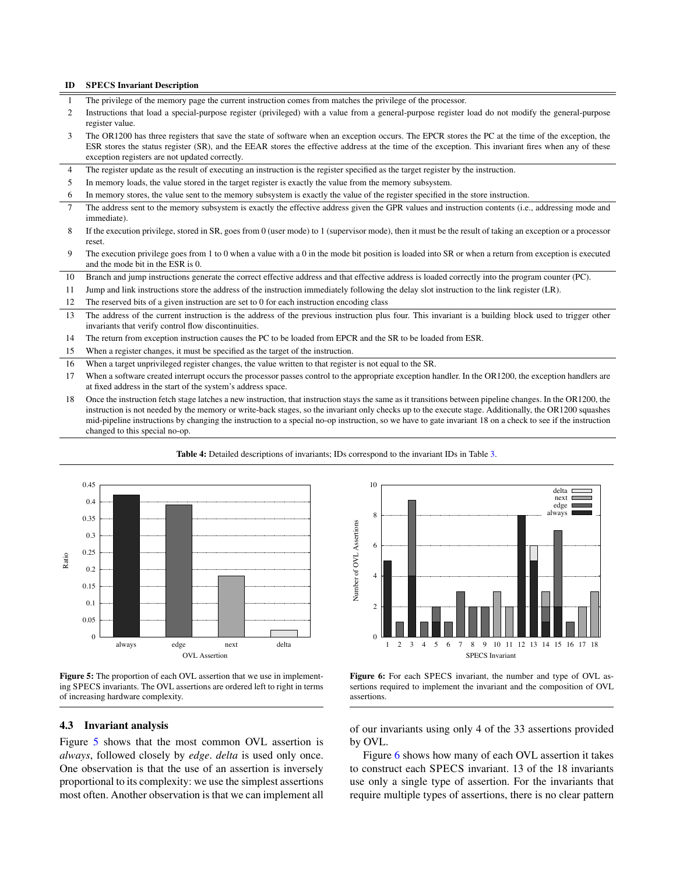#### <span id="page-6-0"></span>ID SPECS Invariant Description

- 1 The privilege of the memory page the current instruction comes from matches the privilege of the processor.
- 2 Instructions that load a special-purpose register (privileged) with a value from a general-purpose register load do not modify the general-purpose register value.
- 3 The OR1200 has three registers that save the state of software when an exception occurs. The EPCR stores the PC at the time of the exception, the ESR stores the status register (SR), and the EEAR stores the effective address at the time of the exception. This invariant fires when any of these exception registers are not updated correctly.
- 4 The register update as the result of executing an instruction is the register specified as the target register by the instruction.
- 5 In memory loads, the value stored in the target register is exactly the value from the memory subsystem.
- 6 In memory stores, the value sent to the memory subsystem is exactly the value of the register specified in the store instruction.
- 7 The address sent to the memory subsystem is exactly the effective address given the GPR values and instruction contents (i.e., addressing mode and immediate).
- 8 If the execution privilege, stored in SR, goes from 0 (user mode) to 1 (supervisor mode), then it must be the result of taking an exception or a processor reset.
- 9 The execution privilege goes from 1 to 0 when a value with a 0 in the mode bit position is loaded into SR or when a return from exception is executed and the mode bit in the ESR is 0.
- 10 Branch and jump instructions generate the correct effective address and that effective address is loaded correctly into the program counter (PC).
- 11 Jump and link instructions store the address of the instruction immediately following the delay slot instruction to the link register (LR).
- 12 The reserved bits of a given instruction are set to 0 for each instruction encoding class
- 13 The address of the current instruction is the address of the previous instruction plus four. This invariant is a building block used to trigger other invariants that verify control flow discontinuities.
- 14 The return from exception instruction causes the PC to be loaded from EPCR and the SR to be loaded from ESR.
- 15 When a register changes, it must be specified as the target of the instruction.
- 16 When a target unprivileged register changes, the value written to that register is not equal to the SR.
- 17 When a software created interrupt occurs the processor passes control to the appropriate exception handler. In the OR1200, the exception handlers are at fixed address in the start of the system's address space.
- 18 Once the instruction fetch stage latches a new instruction, that instruction stays the same as it transitions between pipeline changes. In the OR1200, the instruction is not needed by the memory or write-back stages, so the invariant only checks up to the execute stage. Additionally, the OR1200 squashes mid-pipeline instructions by changing the instruction to a special no-op instruction, so we have to gate invariant 18 on a check to see if the instruction changed to this special no-op.

Table 4: Detailed descriptions of invariants; IDs correspond to the invariant IDs in Table [3.](#page-5-2)

<span id="page-6-1"></span>

<span id="page-6-2"></span>

Figure 5: The proportion of each OVL assertion that we use in implementing SPECS invariants. The OVL assertions are ordered left to right in terms of increasing hardware complexity.

#### 4.3 Invariant analysis

Figure [5](#page-6-1) shows that the most common OVL assertion is *always*, followed closely by *edge*. *delta* is used only once. One observation is that the use of an assertion is inversely proportional to its complexity: we use the simplest assertions most often. Another observation is that we can implement all

Figure 6: For each SPECS invariant, the number and type of OVL assertions required to implement the invariant and the composition of OVL assertions.

of our invariants using only 4 of the 33 assertions provided by OVL.

Figure [6](#page-6-2) shows how many of each OVL assertion it takes to construct each SPECS invariant. 13 of the 18 invariants use only a single type of assertion. For the invariants that require multiple types of assertions, there is no clear pattern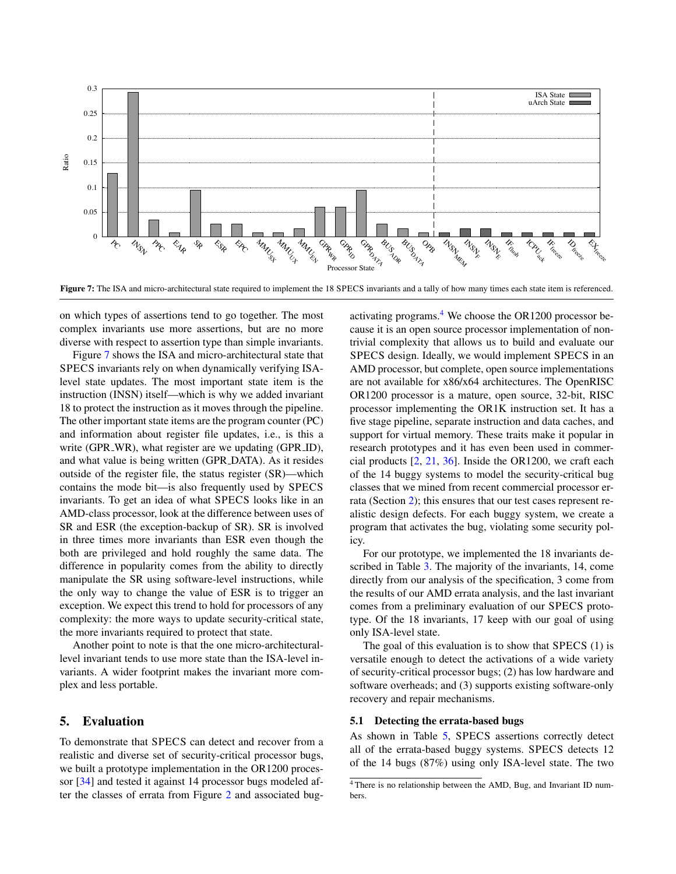<span id="page-7-1"></span>

Figure 7: The ISA and micro-architectural state required to implement the 18 SPECS invariants and a tally of how many times each state item is referenced.

on which types of assertions tend to go together. The most complex invariants use more assertions, but are no more diverse with respect to assertion type than simple invariants.

Figure [7](#page-7-1) shows the ISA and micro-architectural state that SPECS invariants rely on when dynamically verifying ISAlevel state updates. The most important state item is the instruction (INSN) itself—which is why we added invariant 18 to protect the instruction as it moves through the pipeline. The other important state items are the program counter (PC) and information about register file updates, i.e., is this a write (GPR\_WR), what register are we updating (GPR\_ID), and what value is being written (GPR DATA). As it resides outside of the register file, the status register (SR)—which contains the mode bit—is also frequently used by SPECS invariants. To get an idea of what SPECS looks like in an AMD-class processor, look at the difference between uses of SR and ESR (the exception-backup of SR). SR is involved in three times more invariants than ESR even though the both are privileged and hold roughly the same data. The difference in popularity comes from the ability to directly manipulate the SR using software-level instructions, while the only way to change the value of ESR is to trigger an exception. We expect this trend to hold for processors of any complexity: the more ways to update security-critical state, the more invariants required to protect that state.

Another point to note is that the one micro-architecturallevel invariant tends to use more state than the ISA-level invariants. A wider footprint makes the invariant more complex and less portable.

# <span id="page-7-0"></span>5. Evaluation

To demonstrate that SPECS can detect and recover from a realistic and diverse set of security-critical processor bugs, we built a prototype implementation in the OR1200 processor [\[34\]](#page-12-23) and tested it against 14 processor bugs modeled after the classes of errata from Figure [2](#page-2-1) and associated bugactivating programs. $4$  We choose the OR1200 processor because it is an open source processor implementation of nontrivial complexity that allows us to build and evaluate our SPECS design. Ideally, we would implement SPECS in an AMD processor, but complete, open source implementations are not available for x86/x64 architectures. The OpenRISC OR1200 processor is a mature, open source, 32-bit, RISC processor implementing the OR1K instruction set. It has a five stage pipeline, separate instruction and data caches, and support for virtual memory. These traits make it popular in research prototypes and it has even been used in commercial products [\[2,](#page-11-5) [21,](#page-12-24) [36\]](#page-12-25). Inside the OR1200, we craft each of the 14 buggy systems to model the security-critical bug classes that we mined from recent commercial processor errata (Section [2\)](#page-1-1); this ensures that our test cases represent realistic design defects. For each buggy system, we create a program that activates the bug, violating some security policy.

For our prototype, we implemented the 18 invariants described in Table [3.](#page-5-2) The majority of the invariants, 14, come directly from our analysis of the specification, 3 come from the results of our AMD errata analysis, and the last invariant comes from a preliminary evaluation of our SPECS prototype. Of the 18 invariants, 17 keep with our goal of using only ISA-level state.

The goal of this evaluation is to show that SPECS (1) is versatile enough to detect the activations of a wide variety of security-critical processor bugs; (2) has low hardware and software overheads; and (3) supports existing software-only recovery and repair mechanisms.

## 5.1 Detecting the errata-based bugs

As shown in Table [5,](#page-8-0) SPECS assertions correctly detect all of the errata-based buggy systems. SPECS detects 12 of the 14 bugs (87%) using only ISA-level state. The two

<span id="page-7-2"></span><sup>&</sup>lt;sup>4</sup> There is no relationship between the AMD, Bug, and Invariant ID numbers.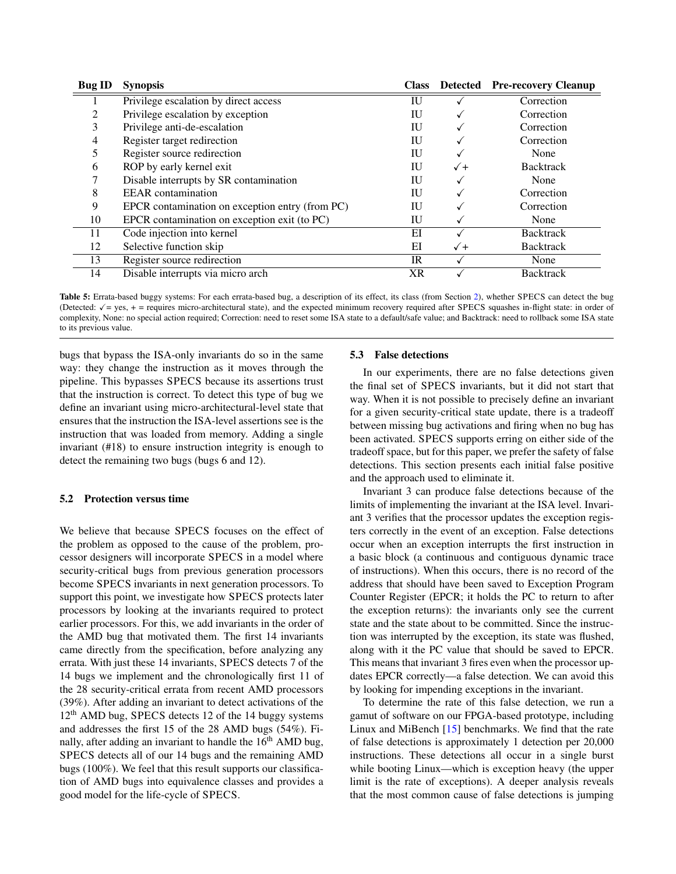<span id="page-8-0"></span>

| <b>Bug ID</b> | <b>Synopsis</b>                                 | <b>Class</b> |            | <b>Detected Pre-recovery Cleanup</b> |
|---------------|-------------------------------------------------|--------------|------------|--------------------------------------|
|               | Privilege escalation by direct access           | ΙU           |            | Correction                           |
|               | Privilege escalation by exception               | ΙU           |            | Correction                           |
| 3             | Privilege anti-de-escalation                    | IU           |            | Correction                           |
| 4             | Register target redirection                     | IU           |            | Correction                           |
| 5             | Register source redirection                     | IU           |            | None                                 |
| 6             | ROP by early kernel exit                        | ΙU           | $\sqrt{+}$ | <b>Backtrack</b>                     |
|               | Disable interrupts by SR contamination          | IU           |            | None                                 |
| 8             | <b>EEAR</b> contamination                       | ΙU           |            | Correction                           |
| 9             | EPCR contamination on exception entry (from PC) | IU           |            | Correction                           |
| 10            | EPCR contamination on exception exit (to PC)    | IU           |            | None                                 |
| 11            | Code injection into kernel                      | EI           |            | <b>Backtrack</b>                     |
| 12            | Selective function skip                         | EI           | $\sqrt{+}$ | <b>Backtrack</b>                     |
| 13            | Register source redirection                     | IR           |            | None                                 |
| 14            | Disable interrupts via micro arch               | XR           |            | <b>Backtrack</b>                     |

Table 5: Errata-based buggy systems: For each errata-based bug, a description of its effect, its class (from Section [2\)](#page-1-1), whether SPECS can detect the bug (Detected:  $\sqrt{ }$  = yes, + = requires micro-architectural state), and the expected minimum recovery required after SPECS squashes in-flight state: in order of complexity, None: no special action required; Correction: need to reset some ISA state to a default/safe value; and Backtrack: need to rollback some ISA state to its previous value.

bugs that bypass the ISA-only invariants do so in the same way: they change the instruction as it moves through the pipeline. This bypasses SPECS because its assertions trust that the instruction is correct. To detect this type of bug we define an invariant using micro-architectural-level state that ensures that the instruction the ISA-level assertions see is the instruction that was loaded from memory. Adding a single invariant (#18) to ensure instruction integrity is enough to detect the remaining two bugs (bugs 6 and 12).

## 5.2 Protection versus time

We believe that because SPECS focuses on the effect of the problem as opposed to the cause of the problem, processor designers will incorporate SPECS in a model where security-critical bugs from previous generation processors become SPECS invariants in next generation processors. To support this point, we investigate how SPECS protects later processors by looking at the invariants required to protect earlier processors. For this, we add invariants in the order of the AMD bug that motivated them. The first 14 invariants came directly from the specification, before analyzing any errata. With just these 14 invariants, SPECS detects 7 of the 14 bugs we implement and the chronologically first 11 of the 28 security-critical errata from recent AMD processors (39%). After adding an invariant to detect activations of the 12<sup>th</sup> AMD bug, SPECS detects 12 of the 14 buggy systems and addresses the first 15 of the 28 AMD bugs (54%). Finally, after adding an invariant to handle the 16<sup>th</sup> AMD bug, SPECS detects all of our 14 bugs and the remaining AMD bugs (100%). We feel that this result supports our classification of AMD bugs into equivalence classes and provides a good model for the life-cycle of SPECS.

#### 5.3 False detections

In our experiments, there are no false detections given the final set of SPECS invariants, but it did not start that way. When it is not possible to precisely define an invariant for a given security-critical state update, there is a tradeoff between missing bug activations and firing when no bug has been activated. SPECS supports erring on either side of the tradeoff space, but for this paper, we prefer the safety of false detections. This section presents each initial false positive and the approach used to eliminate it.

Invariant 3 can produce false detections because of the limits of implementing the invariant at the ISA level. Invariant 3 verifies that the processor updates the exception registers correctly in the event of an exception. False detections occur when an exception interrupts the first instruction in a basic block (a continuous and contiguous dynamic trace of instructions). When this occurs, there is no record of the address that should have been saved to Exception Program Counter Register (EPCR; it holds the PC to return to after the exception returns): the invariants only see the current state and the state about to be committed. Since the instruction was interrupted by the exception, its state was flushed, along with it the PC value that should be saved to EPCR. This means that invariant 3 fires even when the processor updates EPCR correctly—a false detection. We can avoid this by looking for impending exceptions in the invariant.

To determine the rate of this false detection, we run a gamut of software on our FPGA-based prototype, including Linux and MiBench [\[15\]](#page-12-26) benchmarks. We find that the rate of false detections is approximately 1 detection per 20,000 instructions. These detections all occur in a single burst while booting Linux—which is exception heavy (the upper limit is the rate of exceptions). A deeper analysis reveals that the most common cause of false detections is jumping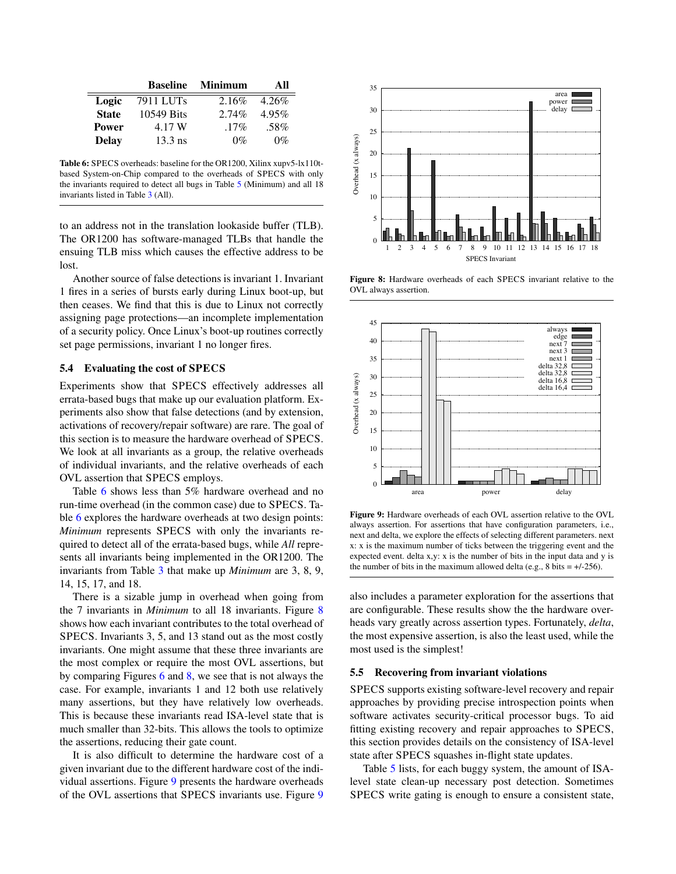<span id="page-9-0"></span>

|              |            | <b>Baseline</b> Minimum | All      |
|--------------|------------|-------------------------|----------|
| Logic        | 7911 LUTs  | 2.16%                   | $4.26\%$ |
| <b>State</b> | 10549 Bits | $2.74\%$                | $4.95\%$ |
| <b>Power</b> | 4.17 W     | $.17\%$                 | $.58\%$  |
| <b>Delay</b> | $13.3$ ns  | $0\%$                   | $0\%$    |

Table 6: SPECS overheads: baseline for the OR1200, Xilinx xupv5-lx110tbased System-on-Chip compared to the overheads of SPECS with only the invariants required to detect all bugs in Table [5](#page-8-0) (Minimum) and all 18 invariants listed in Table [3](#page-5-2) (All).

to an address not in the translation lookaside buffer (TLB). The OR1200 has software-managed TLBs that handle the ensuing TLB miss which causes the effective address to be lost.

Another source of false detections is invariant 1. Invariant 1 fires in a series of bursts early during Linux boot-up, but then ceases. We find that this is due to Linux not correctly assigning page protections—an incomplete implementation of a security policy. Once Linux's boot-up routines correctly set page permissions, invariant 1 no longer fires.

### 5.4 Evaluating the cost of SPECS

Experiments show that SPECS effectively addresses all errata-based bugs that make up our evaluation platform. Experiments also show that false detections (and by extension, activations of recovery/repair software) are rare. The goal of this section is to measure the hardware overhead of SPECS. We look at all invariants as a group, the relative overheads of individual invariants, and the relative overheads of each OVL assertion that SPECS employs.

Table [6](#page-9-0) shows less than 5% hardware overhead and no run-time overhead (in the common case) due to SPECS. Table [6](#page-9-0) explores the hardware overheads at two design points: *Minimum* represents SPECS with only the invariants required to detect all of the errata-based bugs, while *All* represents all invariants being implemented in the OR1200. The invariants from Table [3](#page-5-2) that make up *Minimum* are 3, 8, 9, 14, 15, 17, and 18.

There is a sizable jump in overhead when going from the 7 invariants in *Minimum* to all 18 invariants. Figure [8](#page-9-1) shows how each invariant contributes to the total overhead of SPECS. Invariants 3, 5, and 13 stand out as the most costly invariants. One might assume that these three invariants are the most complex or require the most OVL assertions, but by comparing Figures [6](#page-6-2) and [8,](#page-9-1) we see that is not always the case. For example, invariants 1 and 12 both use relatively many assertions, but they have relatively low overheads. This is because these invariants read ISA-level state that is much smaller than 32-bits. This allows the tools to optimize the assertions, reducing their gate count.

It is also difficult to determine the hardware cost of a given invariant due to the different hardware cost of the individual assertions. Figure [9](#page-9-2) presents the hardware overheads of the OVL assertions that SPECS invariants use. Figure [9](#page-9-2)

<span id="page-9-1"></span>

Figure 8: Hardware overheads of each SPECS invariant relative to the OVL always assertion.

<span id="page-9-2"></span>

Figure 9: Hardware overheads of each OVL assertion relative to the OVL always assertion. For assertions that have configuration parameters, i.e., next and delta, we explore the effects of selecting different parameters. next x: x is the maximum number of ticks between the triggering event and the expected event. delta x,y: x is the number of bits in the input data and y is the number of bits in the maximum allowed delta (e.g.,  $8 \text{ bits} = +1.256$ ).

also includes a parameter exploration for the assertions that are configurable. These results show the the hardware overheads vary greatly across assertion types. Fortunately, *delta*, the most expensive assertion, is also the least used, while the most used is the simplest!

## <span id="page-9-3"></span>5.5 Recovering from invariant violations

SPECS supports existing software-level recovery and repair approaches by providing precise introspection points when software activates security-critical processor bugs. To aid fitting existing recovery and repair approaches to SPECS, this section provides details on the consistency of ISA-level state after SPECS squashes in-flight state updates.

Table [5](#page-8-0) lists, for each buggy system, the amount of ISAlevel state clean-up necessary post detection. Sometimes SPECS write gating is enough to ensure a consistent state,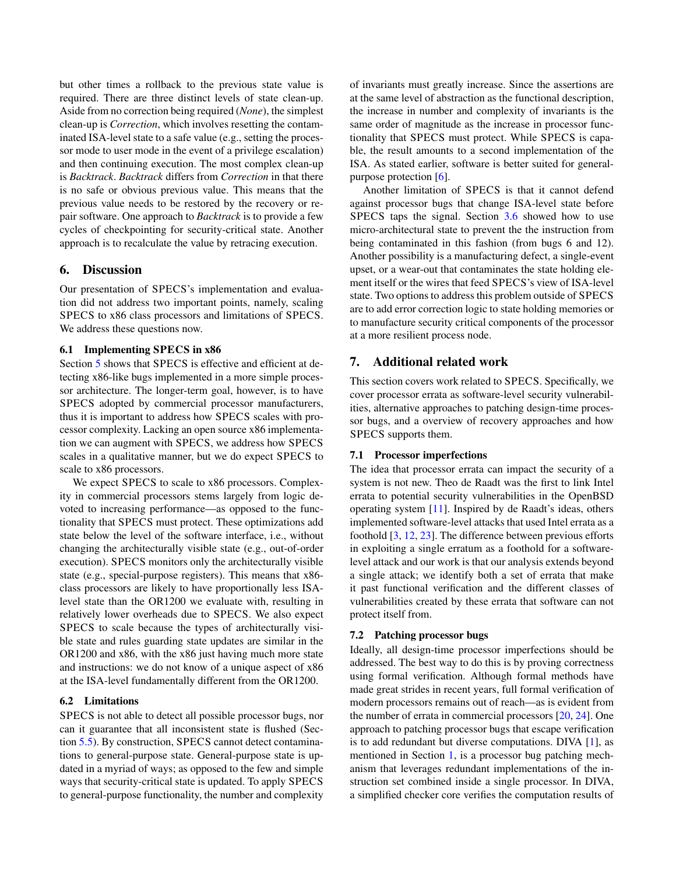but other times a rollback to the previous state value is required. There are three distinct levels of state clean-up. Aside from no correction being required (*None*), the simplest clean-up is *Correction*, which involves resetting the contaminated ISA-level state to a safe value (e.g., setting the processor mode to user mode in the event of a privilege escalation) and then continuing execution. The most complex clean-up is *Backtrack*. *Backtrack* differs from *Correction* in that there is no safe or obvious previous value. This means that the previous value needs to be restored by the recovery or repair software. One approach to *Backtrack* is to provide a few cycles of checkpointing for security-critical state. Another approach is to recalculate the value by retracing execution.

# 6. Discussion

Our presentation of SPECS's implementation and evaluation did not address two important points, namely, scaling SPECS to x86 class processors and limitations of SPECS. We address these questions now.

## 6.1 Implementing SPECS in x86

Section [5](#page-7-0) shows that SPECS is effective and efficient at detecting x86-like bugs implemented in a more simple processor architecture. The longer-term goal, however, is to have SPECS adopted by commercial processor manufacturers, thus it is important to address how SPECS scales with processor complexity. Lacking an open source x86 implementation we can augment with SPECS, we address how SPECS scales in a qualitative manner, but we do expect SPECS to scale to x86 processors.

We expect SPECS to scale to x86 processors. Complexity in commercial processors stems largely from logic devoted to increasing performance—as opposed to the functionality that SPECS must protect. These optimizations add state below the level of the software interface, i.e., without changing the architecturally visible state (e.g., out-of-order execution). SPECS monitors only the architecturally visible state (e.g., special-purpose registers). This means that x86 class processors are likely to have proportionally less ISAlevel state than the OR1200 we evaluate with, resulting in relatively lower overheads due to SPECS. We also expect SPECS to scale because the types of architecturally visible state and rules guarding state updates are similar in the OR1200 and x86, with the x86 just having much more state and instructions: we do not know of a unique aspect of x86 at the ISA-level fundamentally different from the OR1200.

# 6.2 Limitations

SPECS is not able to detect all possible processor bugs, nor can it guarantee that all inconsistent state is flushed (Section [5.5\)](#page-9-3). By construction, SPECS cannot detect contaminations to general-purpose state. General-purpose state is updated in a myriad of ways; as opposed to the few and simple ways that security-critical state is updated. To apply SPECS to general-purpose functionality, the number and complexity

of invariants must greatly increase. Since the assertions are at the same level of abstraction as the functional description, the increase in number and complexity of invariants is the same order of magnitude as the increase in processor functionality that SPECS must protect. While SPECS is capable, the result amounts to a second implementation of the ISA. As stated earlier, software is better suited for generalpurpose protection [\[6\]](#page-11-0).

Another limitation of SPECS is that it cannot defend against processor bugs that change ISA-level state before SPECS taps the signal. Section [3.6](#page-4-1) showed how to use micro-architectural state to prevent the the instruction from being contaminated in this fashion (from bugs 6 and 12). Another possibility is a manufacturing defect, a single-event upset, or a wear-out that contaminates the state holding element itself or the wires that feed SPECS's view of ISA-level state. Two options to address this problem outside of SPECS are to add error correction logic to state holding memories or to manufacture security critical components of the processor at a more resilient process node.

# 7. Additional related work

This section covers work related to SPECS. Specifically, we cover processor errata as software-level security vulnerabilities, alternative approaches to patching design-time processor bugs, and a overview of recovery approaches and how SPECS supports them.

## 7.1 Processor imperfections

The idea that processor errata can impact the security of a system is not new. Theo de Raadt was the first to link Intel errata to potential security vulnerabilities in the OpenBSD operating system [\[11\]](#page-12-18). Inspired by de Raadt's ideas, others implemented software-level attacks that used Intel errata as a foothold [\[3,](#page-11-4) [12,](#page-12-19) [23\]](#page-12-20). The difference between previous efforts in exploiting a single erratum as a foothold for a softwarelevel attack and our work is that our analysis extends beyond a single attack; we identify both a set of errata that make it past functional verification and the different classes of vulnerabilities created by these errata that software can not protect itself from.

#### 7.2 Patching processor bugs

Ideally, all design-time processor imperfections should be addressed. The best way to do this is by proving correctness using formal verification. Although formal methods have made great strides in recent years, full formal verification of modern processors remains out of reach—as is evident from the number of errata in commercial processors [\[20,](#page-12-2) [24\]](#page-12-27). One approach to patching processor bugs that escape verification is to add redundant but diverse computations. DIVA [\[1\]](#page-11-3), as mentioned in Section [1,](#page-0-1) is a processor bug patching mechanism that leverages redundant implementations of the instruction set combined inside a single processor. In DIVA, a simplified checker core verifies the computation results of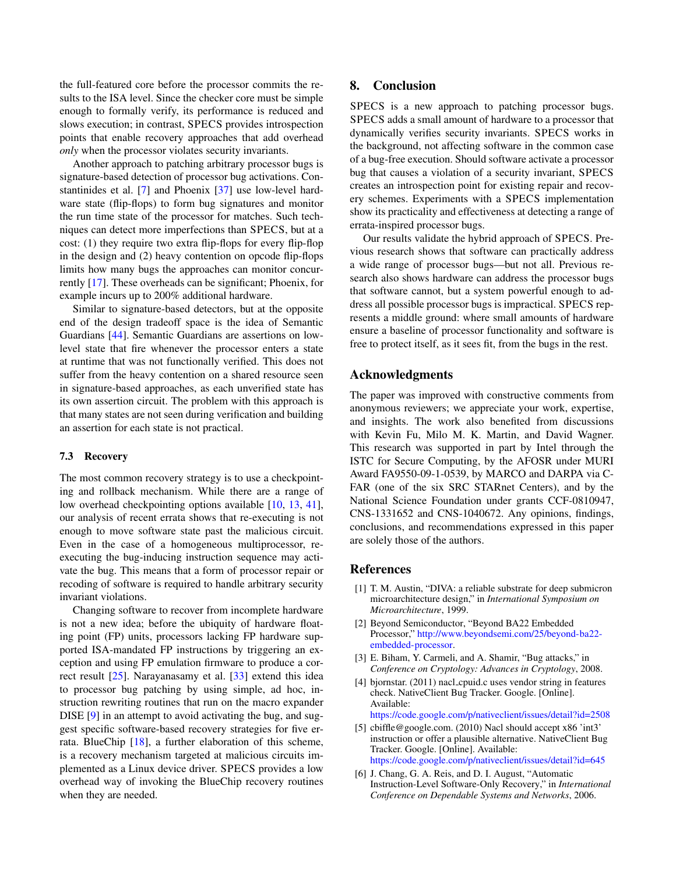the full-featured core before the processor commits the results to the ISA level. Since the checker core must be simple enough to formally verify, its performance is reduced and slows execution; in contrast, SPECS provides introspection points that enable recovery approaches that add overhead *only* when the processor violates security invariants.

Another approach to patching arbitrary processor bugs is signature-based detection of processor bug activations. Constantinides et al. [\[7\]](#page-12-28) and Phoenix [\[37\]](#page-12-16) use low-level hardware state (flip-flops) to form bug signatures and monitor the run time state of the processor for matches. Such techniques can detect more imperfections than SPECS, but at a cost: (1) they require two extra flip-flops for every flip-flop in the design and (2) heavy contention on opcode flip-flops limits how many bugs the approaches can monitor concurrently [\[17\]](#page-12-29). These overheads can be significant; Phoenix, for example incurs up to 200% additional hardware.

Similar to signature-based detectors, but at the opposite end of the design tradeoff space is the idea of Semantic Guardians [\[44\]](#page-12-30). Semantic Guardians are assertions on lowlevel state that fire whenever the processor enters a state at runtime that was not functionally verified. This does not suffer from the heavy contention on a shared resource seen in signature-based approaches, as each unverified state has its own assertion circuit. The problem with this approach is that many states are not seen during verification and building an assertion for each state is not practical.

#### 7.3 Recovery

The most common recovery strategy is to use a checkpointing and rollback mechanism. While there are a range of low overhead checkpointing options available [\[10,](#page-12-31) [13,](#page-12-32) [41\]](#page-12-33), our analysis of recent errata shows that re-executing is not enough to move software state past the malicious circuit. Even in the case of a homogeneous multiprocessor, reexecuting the bug-inducing instruction sequence may activate the bug. This means that a form of processor repair or recoding of software is required to handle arbitrary security invariant violations.

Changing software to recover from incomplete hardware is not a new idea; before the ubiquity of hardware floating point (FP) units, processors lacking FP hardware supported ISA-mandated FP instructions by triggering an exception and using FP emulation firmware to produce a correct result [\[25\]](#page-12-34). Narayanasamy et al. [\[33\]](#page-12-13) extend this idea to processor bug patching by using simple, ad hoc, instruction rewriting routines that run on the macro expander DISE [\[9\]](#page-12-35) in an attempt to avoid activating the bug, and suggest specific software-based recovery strategies for five errata. BlueChip [\[18\]](#page-12-36), a further elaboration of this scheme, is a recovery mechanism targeted at malicious circuits implemented as a Linux device driver. SPECS provides a low overhead way of invoking the BlueChip recovery routines when they are needed.

# 8. Conclusion

SPECS is a new approach to patching processor bugs. SPECS adds a small amount of hardware to a processor that dynamically verifies security invariants. SPECS works in the background, not affecting software in the common case of a bug-free execution. Should software activate a processor bug that causes a violation of a security invariant, SPECS creates an introspection point for existing repair and recovery schemes. Experiments with a SPECS implementation show its practicality and effectiveness at detecting a range of errata-inspired processor bugs.

Our results validate the hybrid approach of SPECS. Previous research shows that software can practically address a wide range of processor bugs—but not all. Previous research also shows hardware can address the processor bugs that software cannot, but a system powerful enough to address all possible processor bugs is impractical. SPECS represents a middle ground: where small amounts of hardware ensure a baseline of processor functionality and software is free to protect itself, as it sees fit, from the bugs in the rest.

# Acknowledgments

The paper was improved with constructive comments from anonymous reviewers; we appreciate your work, expertise, and insights. The work also benefited from discussions with Kevin Fu, Milo M. K. Martin, and David Wagner. This research was supported in part by Intel through the ISTC for Secure Computing, by the AFOSR under MURI Award FA9550-09-1-0539, by MARCO and DARPA via C-FAR (one of the six SRC STARnet Centers), and by the National Science Foundation under grants CCF-0810947, CNS-1331652 and CNS-1040672. Any opinions, findings, conclusions, and recommendations expressed in this paper are solely those of the authors.

# References

- <span id="page-11-3"></span>[1] T. M. Austin, "DIVA: a reliable substrate for deep submicron microarchitecture design," in *International Symposium on Microarchitecture*, 1999.
- <span id="page-11-5"></span>[2] Beyond Semiconductor, "Beyond BA22 Embedded Processor," [http://www.beyondsemi.com/25/beyond-ba22](http://www.beyondsemi.com/25/beyond-ba22-embedded-processor) [embedded-processor.](http://www.beyondsemi.com/25/beyond-ba22-embedded-processor)
- <span id="page-11-4"></span>[3] E. Biham, Y. Carmeli, and A. Shamir, "Bug attacks," in *Conference on Cryptology: Advances in Cryptology*, 2008.
- <span id="page-11-1"></span>[4] biornstar. (2011) nacl\_cpuid.c uses vendor string in features check. NativeClient Bug Tracker. Google. [Online]. Available: <https://code.google.com/p/nativeclient/issues/detail?id=2508>
- <span id="page-11-2"></span>[5] cbiffle@google.com. (2010) Nacl should accept x86 'int3' instruction or offer a plausible alternative. NativeClient Bug Tracker. Google. [Online]. Available: <https://code.google.com/p/nativeclient/issues/detail?id=645>
- <span id="page-11-0"></span>[6] J. Chang, G. A. Reis, and D. I. August, "Automatic Instruction-Level Software-Only Recovery," in *International Conference on Dependable Systems and Networks*, 2006.